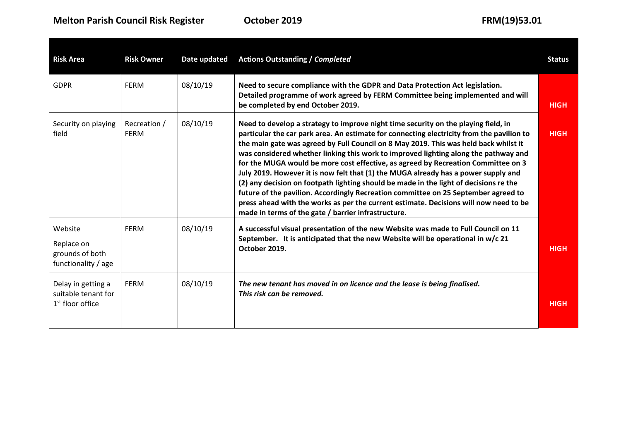| <b>Risk Area</b>                                                | <b>Risk Owner</b>           | Date updated | <b>Actions Outstanding / Completed</b>                                                                                                                                                                                                                                                                                                                                                                                                                                                                                                                                                                                                                                                                                                                                                                                                                                   | <b>Status</b> |
|-----------------------------------------------------------------|-----------------------------|--------------|--------------------------------------------------------------------------------------------------------------------------------------------------------------------------------------------------------------------------------------------------------------------------------------------------------------------------------------------------------------------------------------------------------------------------------------------------------------------------------------------------------------------------------------------------------------------------------------------------------------------------------------------------------------------------------------------------------------------------------------------------------------------------------------------------------------------------------------------------------------------------|---------------|
| <b>GDPR</b>                                                     | <b>FERM</b>                 | 08/10/19     | Need to secure compliance with the GDPR and Data Protection Act legislation.<br>Detailed programme of work agreed by FERM Committee being implemented and will<br>be completed by end October 2019.                                                                                                                                                                                                                                                                                                                                                                                                                                                                                                                                                                                                                                                                      | <b>HIGH</b>   |
| Security on playing<br>field                                    | Recreation /<br><b>FERM</b> | 08/10/19     | Need to develop a strategy to improve night time security on the playing field, in<br>particular the car park area. An estimate for connecting electricity from the pavilion to<br>the main gate was agreed by Full Council on 8 May 2019. This was held back whilst it<br>was considered whether linking this work to improved lighting along the pathway and<br>for the MUGA would be more cost effective, as agreed by Recreation Committee on 3<br>July 2019. However it is now felt that (1) the MUGA already has a power supply and<br>(2) any decision on footpath lighting should be made in the light of decisions re the<br>future of the pavilion. Accordingly Recreation committee on 25 September agreed to<br>press ahead with the works as per the current estimate. Decisions will now need to be<br>made in terms of the gate / barrier infrastructure. | <b>HIGH</b>   |
| Website<br>Replace on<br>grounds of both<br>functionality / age | <b>FERM</b>                 | 08/10/19     | A successful visual presentation of the new Website was made to Full Council on 11<br>September. It is anticipated that the new Website will be operational in w/c 21<br>October 2019.                                                                                                                                                                                                                                                                                                                                                                                                                                                                                                                                                                                                                                                                                   | <b>HIGH</b>   |
| Delay in getting a<br>suitable tenant for<br>$1st$ floor office | <b>FERM</b>                 | 08/10/19     | The new tenant has moved in on licence and the lease is being finalised.<br>This risk can be removed.                                                                                                                                                                                                                                                                                                                                                                                                                                                                                                                                                                                                                                                                                                                                                                    | <b>HIGH</b>   |